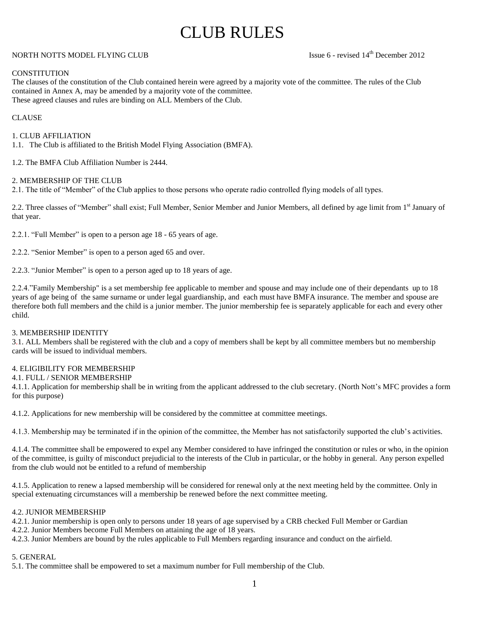# CLUB RULES

# NORTH NOTTS MODEL FLYING CLUB ISSUE 6 - revised 14<sup>th</sup> December 2012

# **CONSTITUTION**

The clauses of the constitution of the Club contained herein were agreed by a majority vote of the committee. The rules of the Club contained in Annex A, may be amended by a majority vote of the committee. These agreed clauses and rules are binding on ALL Members of the Club.

# CLAUSE

1. CLUB AFFILIATION

1.1. The Club is affiliated to the British Model Flying Association (BMFA).

1.2. The BMFA Club Affiliation Number is 2444.

# 2. MEMBERSHIP OF THE CLUB

2.1. The title of "Member" of the Club applies to those persons who operate radio controlled flying models of all types.

2.2. Three classes of "Member" shall exist; Full Member, Senior Member and Junior Members, all defined by age limit from 1<sup>st</sup> January of that year.

2.2.1. "Full Member" is open to a person age 18 - 65 years of age.

2.2.2. "Senior Member" is open to a person aged 65 and over.

2.2.3. "Junior Member" is open to a person aged up to 18 years of age.

2.2.4."Family Membership" is a set membership fee applicable to member and spouse and may include one of their dependants up to 18 years of age being of the same surname or under legal guardianship, and each must have BMFA insurance. The member and spouse are therefore both full members and the child is a junior member. The junior membership fee is separately applicable for each and every other child.

# 3. MEMBERSHIP IDENTITY

3.1. ALL Members shall be registered with the club and a copy of members shall be kept by all committee members but no membership cards will be issued to individual members.

#### 4. ELIGIBILITY FOR MEMBERSHIP

# 4.1. FULL / SENIOR MEMBERSHIP

4.1.1. Application for membership shall be in writing from the applicant addressed to the club secretary. (North Nott's MFC provides a form for this purpose)

4.1.2. Applications for new membership will be considered by the committee at committee meetings.

4.1.3. Membership may be terminated if in the opinion of the committee, the Member has not satisfactorily supported the club's activities.

4.1.4. The committee shall be empowered to expel any Member considered to have infringed the constitution or rules or who, in the opinion of the committee, is guilty of misconduct prejudicial to the interests of the Club in particular, or the hobby in general. Any person expelled from the club would not be entitled to a refund of membership

4.1.5. Application to renew a lapsed membership will be considered for renewal only at the next meeting held by the committee. Only in special extenuating circumstances will a membership be renewed before the next committee meeting.

#### 4.2. JUNIOR MEMBERSHIP

- 4.2.1. Junior membership is open only to persons under 18 years of age supervised by a CRB checked Full Member or Gardian
- 4.2.2. Junior Members become Full Members on attaining the age of 18 years.
- 4.2.3. Junior Members are bound by the rules applicable to Full Members regarding insurance and conduct on the airfield.

# 5. GENERAL

5.1. The committee shall be empowered to set a maximum number for Full membership of the Club.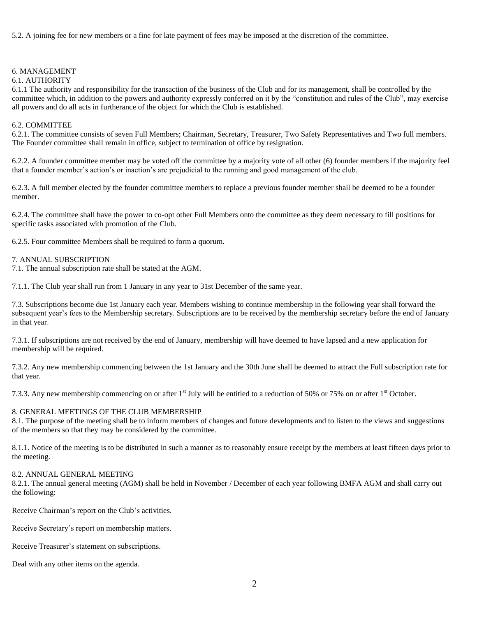5.2. A joining fee for new members or a fine for late payment of fees may be imposed at the discretion of the committee.

#### 6. MANAGEMENT

#### 6.1. AUTHORITY

6.1.1 The authority and responsibility for the transaction of the business of the Club and for its management, shall be controlled by the committee which, in addition to the powers and authority expressly conferred on it by the "constitution and rules of the Club", may exercise all powers and do all acts in furtherance of the object for which the Club is established.

#### 6.2. COMMITTEE

6.2.1. The committee consists of seven Full Members; Chairman, Secretary, Treasurer, Two Safety Representatives and Two full members. The Founder committee shall remain in office, subject to termination of office by resignation.

6.2.2. A founder committee member may be voted off the committee by a majority vote of all other (6) founder members if the majority feel that a founder member's action's or inaction's are prejudicial to the running and good management of the club.

6.2.3. A full member elected by the founder committee members to replace a previous founder member shall be deemed to be a founder member.

6.2.4. The committee shall have the power to co-opt other Full Members onto the committee as they deem necessary to fill positions for specific tasks associated with promotion of the Club.

6.2.5. Four committee Members shall be required to form a quorum.

#### 7. ANNUAL SUBSCRIPTION

7.1. The annual subscription rate shall be stated at the AGM.

7.1.1. The Club year shall run from 1 January in any year to 31st December of the same year.

7.3. Subscriptions become due 1st January each year. Members wishing to continue membership in the following year shall forward the subsequent year's fees to the Membership secretary. Subscriptions are to be received by the membership secretary before the end of January in that year.

7.3.1. If subscriptions are not received by the end of January, membership will have deemed to have lapsed and a new application for membership will be required.

7.3.2. Any new membership commencing between the 1st January and the 30th June shall be deemed to attract the Full subscription rate for that year.

7.3.3. Any new membership commencing on or after  $1<sup>st</sup>$  July will be entitled to a reduction of 50% or 75% on or after  $1<sup>st</sup>$  October.

# 8. GENERAL MEETINGS OF THE CLUB MEMBERSHIP

8.1. The purpose of the meeting shall be to inform members of changes and future developments and to listen to the views and suggestions of the members so that they may be considered by the committee.

8.1.1. Notice of the meeting is to be distributed in such a manner as to reasonably ensure receipt by the members at least fifteen days prior to the meeting.

#### 8.2. ANNUAL GENERAL MEETING

8.2.1. The annual general meeting (AGM) shall be held in November / December of each year following BMFA AGM and shall carry out the following:

Receive Chairman's report on the Club's activities.

Receive Secretary's report on membership matters.

Receive Treasurer's statement on subscriptions.

Deal with any other items on the agenda.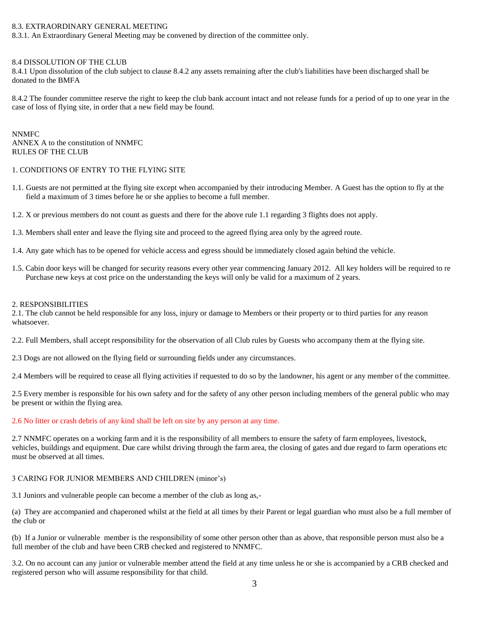# 8.3. EXTRAORDINARY GENERAL MEETING

8.3.1. An Extraordinary General Meeting may be convened by direction of the committee only.

#### 8.4 DISSOLUTION OF THE CLUB

8.4.1 Upon dissolution of the club subject to clause 8.4.2 any assets remaining after the club's liabilities have been discharged shall be donated to the BMFA

8.4.2 The founder committee reserve the right to keep the club bank account intact and not release funds for a period of up to one year in the case of loss of flying site, in order that a new field may be found.

NNMFC ANNEX A to the constitution of NNMFC RULES OF THE CLUB

#### 1. CONDITIONS OF ENTRY TO THE FLYING SITE

- 1.1. Guests are not permitted at the flying site except when accompanied by their introducing Member. A Guest has the option to fly at the field a maximum of 3 times before he or she applies to become a full member.
- 1.2. X or previous members do not count as guests and there for the above rule 1.1 regarding 3 flights does not apply.
- 1.3. Members shall enter and leave the flying site and proceed to the agreed flying area only by the agreed route.
- 1.4. Any gate which has to be opened for vehicle access and egress should be immediately closed again behind the vehicle.
- 1.5. Cabin door keys will be changed for security reasons every other year commencing January 2012. All key holders will be required to re Purchase new keys at cost price on the understanding the keys will only be valid for a maximum of 2 years.

#### 2. RESPONSIBILITIES

2.1. The club cannot be held responsible for any loss, injury or damage to Members or their property or to third parties for any reason whatsoever.

2.2. Full Members, shall accept responsibility for the observation of all Club rules by Guests who accompany them at the flying site.

2.3 Dogs are not allowed on the flying field or surrounding fields under any circumstances.

2.4 Members will be required to cease all flying activities if requested to do so by the landowner, his agent or any member of the committee.

2.5 Every member is responsible for his own safety and for the safety of any other person including members of the general public who may be present or within the flying area.

#### 2.6 No litter or crash debris of any kind shall be left on site by any person at any time.

2.7 NNMFC operates on a working farm and it is the responsibility of all members to ensure the safety of farm employees, livestock, vehicles, buildings and equipment. Due care whilst driving through the farm area, the closing of gates and due regard to farm operations etc must be observed at all times.

#### 3 CARING FOR JUNIOR MEMBERS AND CHILDREN (minor's)

3.1 Juniors and vulnerable people can become a member of the club as long as,-

(a) They are accompanied and chaperoned whilst at the field at all times by their Parent or legal guardian who must also be a full member of the club or

(b) If a Junior or vulnerable member is the responsibility of some other person other than as above, that responsible person must also be a full member of the club and have been CRB checked and registered to NNMFC.

3.2. On no account can any junior or vulnerable member attend the field at any time unless he or she is accompanied by a CRB checked and registered person who will assume responsibility for that child.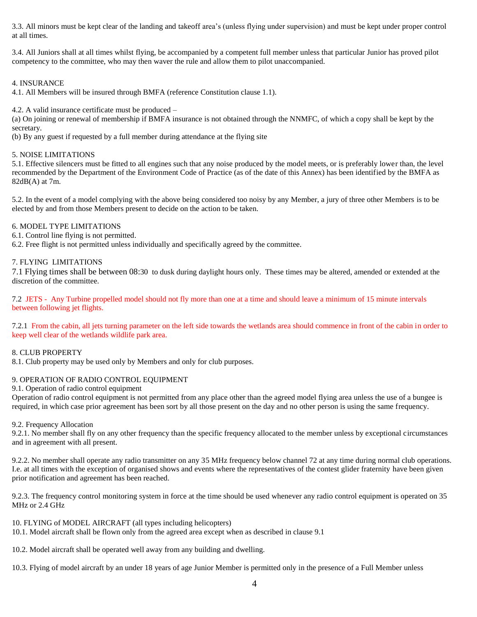3.3. All minors must be kept clear of the landing and takeoff area's (unless flying under supervision) and must be kept under proper control at all times.

3.4. All Juniors shall at all times whilst flying, be accompanied by a competent full member unless that particular Junior has proved pilot competency to the committee, who may then waver the rule and allow them to pilot unaccompanied.

# 4. INSURANCE

4.1. All Members will be insured through BMFA (reference Constitution clause 1.1).

4.2. A valid insurance certificate must be produced –

(a) On joining or renewal of membership if BMFA insurance is not obtained through the NNMFC, of which a copy shall be kept by the secretary.

(b) By any guest if requested by a full member during attendance at the flying site

# 5. NOISE LIMITATIONS

5.1. Effective silencers must be fitted to all engines such that any noise produced by the model meets, or is preferably lower than, the level recommended by the Department of the Environment Code of Practice (as of the date of this Annex) has been identified by the BMFA as 82dB(A) at 7m.

5.2. In the event of a model complying with the above being considered too noisy by any Member, a jury of three other Members is to be elected by and from those Members present to decide on the action to be taken.

# 6. MODEL TYPE LIMITATIONS

6.1. Control line flying is not permitted.

6.2. Free flight is not permitted unless individually and specifically agreed by the committee.

# 7. FLYING LIMITATIONS

7.1 Flying times shall be between 08:30 to dusk during daylight hours only. These times may be altered, amended or extended at the discretion of the committee.

7.2 JETS - Any Turbine propelled model should not fly more than one at a time and should leave a minimum of 15 minute intervals between following jet flights.

7.2.1 From the cabin, all jets turning parameter on the left side towards the wetlands area should commence in front of the cabin in order to keep well clear of the wetlands wildlife park area.

# 8. CLUB PROPERTY

8.1. Club property may be used only by Members and only for club purposes.

# 9. OPERATION OF RADIO CONTROL EQUIPMENT

9.1. Operation of radio control equipment

Operation of radio control equipment is not permitted from any place other than the agreed model flying area unless the use of a bungee is required, in which case prior agreement has been sort by all those present on the day and no other person is using the same frequency.

# 9.2. Frequency Allocation

9.2.1. No member shall fly on any other frequency than the specific frequency allocated to the member unless by exceptional circumstances and in agreement with all present.

9.2.2. No member shall operate any radio transmitter on any 35 MHz frequency below channel 72 at any time during normal club operations. I.e. at all times with the exception of organised shows and events where the representatives of the contest glider fraternity have been given prior notification and agreement has been reached.

9.2.3. The frequency control monitoring system in force at the time should be used whenever any radio control equipment is operated on 35 MHz or 2.4 GHz

# 10. FLYING of MODEL AIRCRAFT (all types including helicopters)

10.1. Model aircraft shall be flown only from the agreed area except when as described in clause 9.1

10.2. Model aircraft shall be operated well away from any building and dwelling.

10.3. Flying of model aircraft by an under 18 years of age Junior Member is permitted only in the presence of a Full Member unless